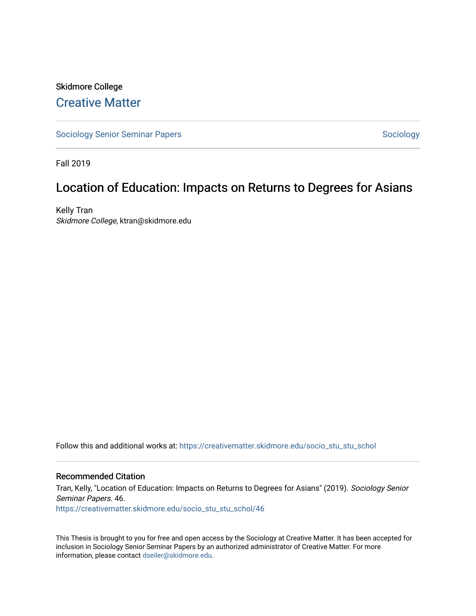# Skidmore College [Creative Matter](https://creativematter.skidmore.edu/)

[Sociology Senior Seminar Papers](https://creativematter.skidmore.edu/socio_stu_stu_schol) [Sociology](https://creativematter.skidmore.edu/stu_schol_socio_stu) Sociology Sociology

Fall 2019

# Location of Education: Impacts on Returns to Degrees for Asians

Kelly Tran Skidmore College, ktran@skidmore.edu

Follow this and additional works at: [https://creativematter.skidmore.edu/socio\\_stu\\_stu\\_schol](https://creativematter.skidmore.edu/socio_stu_stu_schol?utm_source=creativematter.skidmore.edu%2Fsocio_stu_stu_schol%2F46&utm_medium=PDF&utm_campaign=PDFCoverPages) 

# Recommended Citation

Tran, Kelly, "Location of Education: Impacts on Returns to Degrees for Asians" (2019). Sociology Senior Seminar Papers. 46. [https://creativematter.skidmore.edu/socio\\_stu\\_stu\\_schol/46](https://creativematter.skidmore.edu/socio_stu_stu_schol/46?utm_source=creativematter.skidmore.edu%2Fsocio_stu_stu_schol%2F46&utm_medium=PDF&utm_campaign=PDFCoverPages)

This Thesis is brought to you for free and open access by the Sociology at Creative Matter. It has been accepted for inclusion in Sociology Senior Seminar Papers by an authorized administrator of Creative Matter. For more information, please contact [dseiler@skidmore.edu.](mailto:dseiler@skidmore.edu)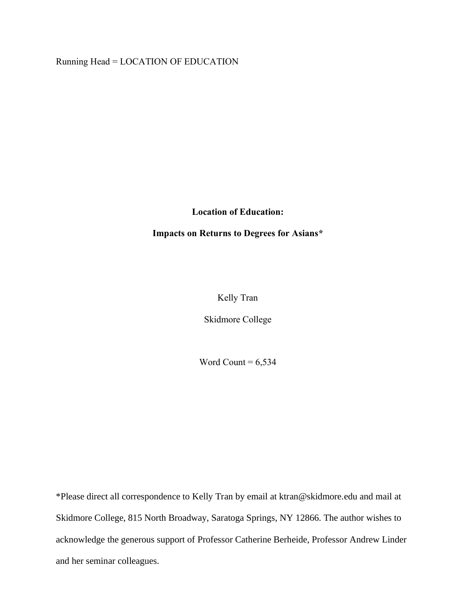Running Head = LOCATION OF EDUCATION

**Location of Education:** 

**Impacts on Returns to Degrees for Asians\***

Kelly Tran

Skidmore College

Word Count  $= 6,534$ 

\*Please direct all correspondence to Kelly Tran by email at ktran@skidmore.edu and mail at Skidmore College, 815 North Broadway, Saratoga Springs, NY 12866. The author wishes to acknowledge the generous support of Professor Catherine Berheide, Professor Andrew Linder and her seminar colleagues.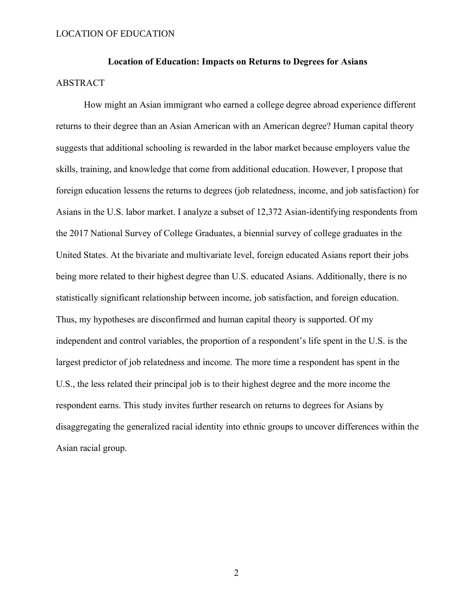# **Location of Education: Impacts on Returns to Degrees for Asians** ABSTRACT

How might an Asian immigrant who earned a college degree abroad experience different returns to their degree than an Asian American with an American degree? Human capital theory suggests that additional schooling is rewarded in the labor market because employers value the skills, training, and knowledge that come from additional education. However, I propose that foreign education lessens the returns to degrees (job relatedness, income, and job satisfaction) for Asians in the U.S. labor market. I analyze a subset of 12,372 Asian-identifying respondents from the 2017 National Survey of College Graduates, a biennial survey of college graduates in the United States. At the bivariate and multivariate level, foreign educated Asians report their jobs being more related to their highest degree than U.S. educated Asians. Additionally, there is no statistically significant relationship between income, job satisfaction, and foreign education. Thus, my hypotheses are disconfirmed and human capital theory is supported. Of my independent and control variables, the proportion of a respondent's life spent in the U.S. is the largest predictor of job relatedness and income. The more time a respondent has spent in the U.S., the less related their principal job is to their highest degree and the more income the respondent earns. This study invites further research on returns to degrees for Asians by disaggregating the generalized racial identity into ethnic groups to uncover differences within the Asian racial group.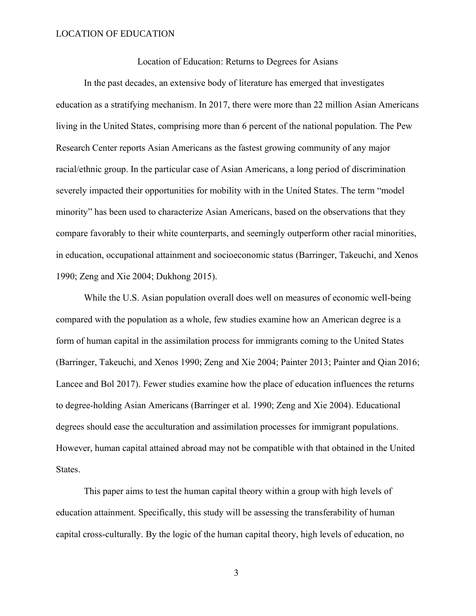Location of Education: Returns to Degrees for Asians

In the past decades, an extensive body of literature has emerged that investigates education as a stratifying mechanism. In 2017, there were more than 22 million Asian Americans living in the United States, comprising more than 6 percent of the national population. The Pew Research Center reports Asian Americans as the fastest growing community of any major racial/ethnic group. In the particular case of Asian Americans, a long period of discrimination severely impacted their opportunities for mobility with in the United States. The term "model minority" has been used to characterize Asian Americans, based on the observations that they compare favorably to their white counterparts, and seemingly outperform other racial minorities, in education, occupational attainment and socioeconomic status (Barringer, Takeuchi, and Xenos 1990; Zeng and Xie 2004; Dukhong 2015).

While the U.S. Asian population overall does well on measures of economic well-being compared with the population as a whole, few studies examine how an American degree is a form of human capital in the assimilation process for immigrants coming to the United States (Barringer, Takeuchi, and Xenos 1990; Zeng and Xie 2004; Painter 2013; Painter and Qian 2016; Lancee and Bol 2017). Fewer studies examine how the place of education influences the returns to degree-holding Asian Americans (Barringer et al. 1990; Zeng and Xie 2004). Educational degrees should ease the acculturation and assimilation processes for immigrant populations. However, human capital attained abroad may not be compatible with that obtained in the United States.

This paper aims to test the human capital theory within a group with high levels of education attainment. Specifically, this study will be assessing the transferability of human capital cross-culturally. By the logic of the human capital theory, high levels of education, no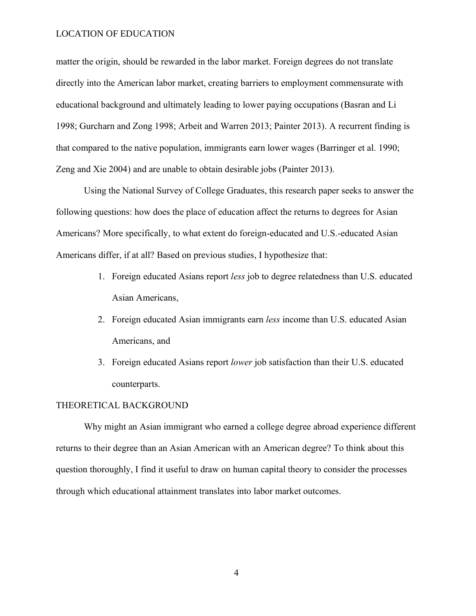matter the origin, should be rewarded in the labor market. Foreign degrees do not translate directly into the American labor market, creating barriers to employment commensurate with educational background and ultimately leading to lower paying occupations (Basran and Li 1998; Gurcharn and Zong 1998; Arbeit and Warren 2013; Painter 2013). A recurrent finding is that compared to the native population, immigrants earn lower wages (Barringer et al. 1990; Zeng and Xie 2004) and are unable to obtain desirable jobs (Painter 2013).

Using the National Survey of College Graduates, this research paper seeks to answer the following questions: how does the place of education affect the returns to degrees for Asian Americans? More specifically, to what extent do foreign-educated and U.S.-educated Asian Americans differ, if at all? Based on previous studies, I hypothesize that:

- 1. Foreign educated Asians report *less* job to degree relatedness than U.S. educated Asian Americans,
- 2. Foreign educated Asian immigrants earn *less* income than U.S. educated Asian Americans, and
- 3. Foreign educated Asians report *lower* job satisfaction than their U.S. educated counterparts.

#### THEORETICAL BACKGROUND

Why might an Asian immigrant who earned a college degree abroad experience different returns to their degree than an Asian American with an American degree? To think about this question thoroughly, I find it useful to draw on human capital theory to consider the processes through which educational attainment translates into labor market outcomes.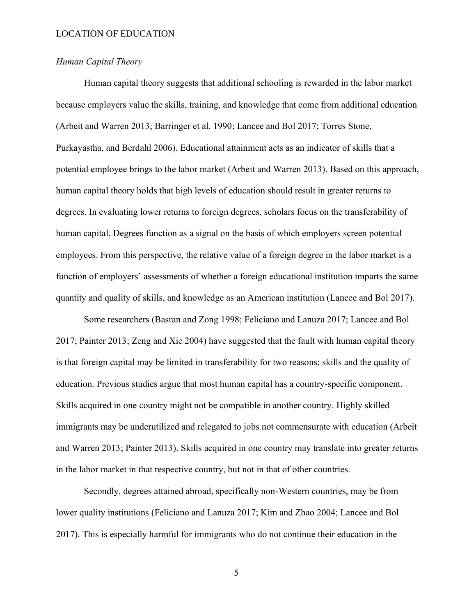# *Human Capital Theory*

Human capital theory suggests that additional schooling is rewarded in the labor market because employers value the skills, training, and knowledge that come from additional education (Arbeit and Warren 2013; Barringer et al. 1990; Lancee and Bol 2017; Torres Stone, Purkayastha, and Berdahl 2006). Educational attainment acts as an indicator of skills that a potential employee brings to the labor market (Arbeit and Warren 2013). Based on this approach, human capital theory holds that high levels of education should result in greater returns to degrees. In evaluating lower returns to foreign degrees, scholars focus on the transferability of human capital. Degrees function as a signal on the basis of which employers screen potential employees. From this perspective, the relative value of a foreign degree in the labor market is a function of employers' assessments of whether a foreign educational institution imparts the same quantity and quality of skills, and knowledge as an American institution (Lancee and Bol 2017).

Some researchers (Basran and Zong 1998; Feliciano and Lanuza 2017; Lancee and Bol 2017; Painter 2013; Zeng and Xie 2004) have suggested that the fault with human capital theory is that foreign capital may be limited in transferability for two reasons: skills and the quality of education. Previous studies argue that most human capital has a country-specific component. Skills acquired in one country might not be compatible in another country. Highly skilled immigrants may be underutilized and relegated to jobs not commensurate with education (Arbeit and Warren 2013; Painter 2013). Skills acquired in one country may translate into greater returns in the labor market in that respective country, but not in that of other countries.

Secondly, degrees attained abroad, specifically non-Western countries, may be from lower quality institutions (Feliciano and Lanuza 2017; Kim and Zhao 2004; Lancee and Bol 2017). This is especially harmful for immigrants who do not continue their education in the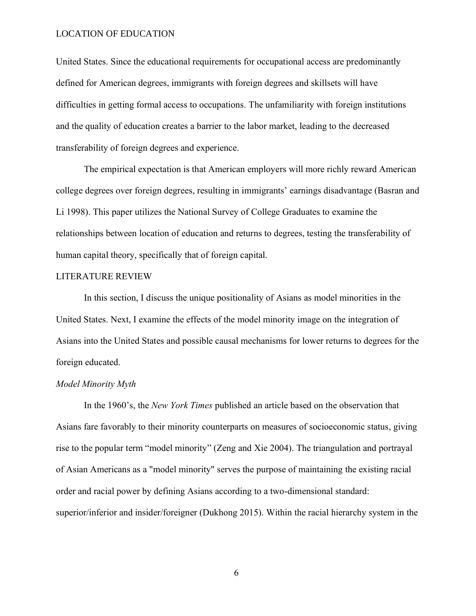United States. Since the educational requirements for occupational access are predominantly defined for American degrees, immigrants with foreign degrees and skillsets will have difficulties in getting formal access to occupations. The unfamiliarity with foreign institutions and the quality of education creates a barrier to the labor market, leading to the decreased transferability of foreign degrees and experience.

The empirical expectation is that American employers will more richly reward American college degrees over foreign degrees, resulting in immigrants' earnings disadvantage (Basran and Li 1998). This paper utilizes the National Survey of College Graduates to examine the relationships between location of education and returns to degrees, testing the transferability of human capital theory, specifically that of foreign capital.

#### LITERATURE REVIEW

In this section, I discuss the unique positionality of Asians as model minorities in the United States. Next, I examine the effects of the model minority image on the integration of Asians into the United States and possible causal mechanisms for lower returns to degrees for the foreign educated.

# *Model Minority Myth*

In the 1960's, the *New York Times* published an article based on the observation that Asians fare favorably to their minority counterparts on measures of socioeconomic status, giving rise to the popular term "model minority" (Zeng and Xie 2004). The triangulation and portrayal of Asian Americans as a "model minority" serves the purpose of maintaining the existing racial order and racial power by defining Asians according to a two-dimensional standard: superior/inferior and insider/foreigner (Dukhong 2015). Within the racial hierarchy system in the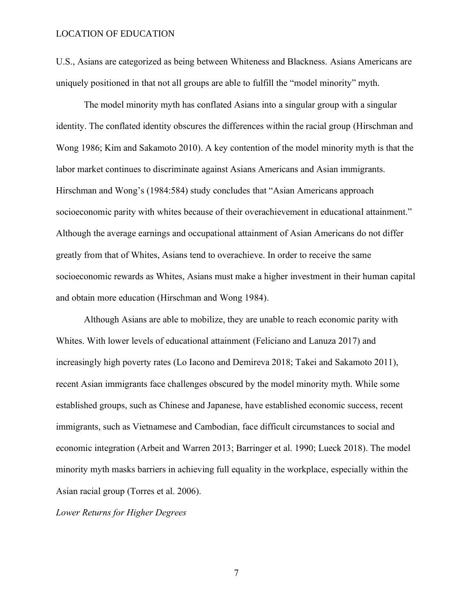U.S., Asians are categorized as being between Whiteness and Blackness. Asians Americans are uniquely positioned in that not all groups are able to fulfill the "model minority" myth.

The model minority myth has conflated Asians into a singular group with a singular identity. The conflated identity obscures the differences within the racial group (Hirschman and Wong 1986; Kim and Sakamoto 2010). A key contention of the model minority myth is that the labor market continues to discriminate against Asians Americans and Asian immigrants. Hirschman and Wong's (1984:584) study concludes that "Asian Americans approach socioeconomic parity with whites because of their overachievement in educational attainment." Although the average earnings and occupational attainment of Asian Americans do not differ greatly from that of Whites, Asians tend to overachieve. In order to receive the same socioeconomic rewards as Whites, Asians must make a higher investment in their human capital and obtain more education (Hirschman and Wong 1984).

Although Asians are able to mobilize, they are unable to reach economic parity with Whites. With lower levels of educational attainment (Feliciano and Lanuza 2017) and increasingly high poverty rates (Lo Iacono and Demireva 2018; Takei and Sakamoto 2011), recent Asian immigrants face challenges obscured by the model minority myth. While some established groups, such as Chinese and Japanese, have established economic success, recent immigrants, such as Vietnamese and Cambodian, face difficult circumstances to social and economic integration (Arbeit and Warren 2013; Barringer et al. 1990; Lueck 2018). The model minority myth masks barriers in achieving full equality in the workplace, especially within the Asian racial group (Torres et al. 2006).

*Lower Returns for Higher Degrees*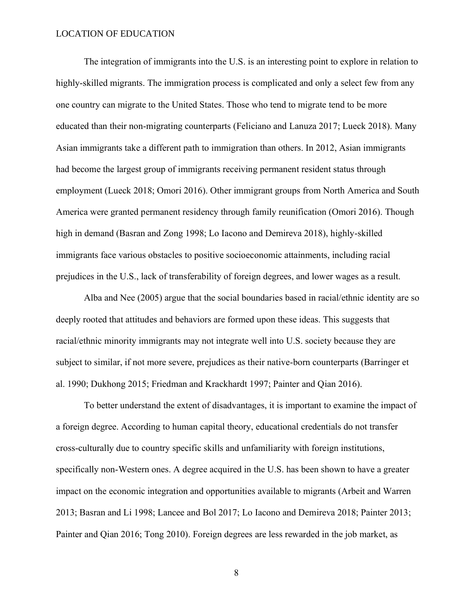The integration of immigrants into the U.S. is an interesting point to explore in relation to highly-skilled migrants. The immigration process is complicated and only a select few from any one country can migrate to the United States. Those who tend to migrate tend to be more educated than their non-migrating counterparts (Feliciano and Lanuza 2017; Lueck 2018). Many Asian immigrants take a different path to immigration than others. In 2012, Asian immigrants had become the largest group of immigrants receiving permanent resident status through employment (Lueck 2018; Omori 2016). Other immigrant groups from North America and South America were granted permanent residency through family reunification (Omori 2016). Though high in demand (Basran and Zong 1998; Lo Iacono and Demireva 2018), highly-skilled immigrants face various obstacles to positive socioeconomic attainments, including racial prejudices in the U.S., lack of transferability of foreign degrees, and lower wages as a result.

Alba and Nee (2005) argue that the social boundaries based in racial/ethnic identity are so deeply rooted that attitudes and behaviors are formed upon these ideas. This suggests that racial/ethnic minority immigrants may not integrate well into U.S. society because they are subject to similar, if not more severe, prejudices as their native-born counterparts (Barringer et al. 1990; Dukhong 2015; Friedman and Krackhardt 1997; Painter and Qian 2016).

To better understand the extent of disadvantages, it is important to examine the impact of a foreign degree. According to human capital theory, educational credentials do not transfer cross-culturally due to country specific skills and unfamiliarity with foreign institutions, specifically non-Western ones. A degree acquired in the U.S. has been shown to have a greater impact on the economic integration and opportunities available to migrants (Arbeit and Warren 2013; Basran and Li 1998; Lancee and Bol 2017; Lo Iacono and Demireva 2018; Painter 2013; Painter and Qian 2016; Tong 2010). Foreign degrees are less rewarded in the job market, as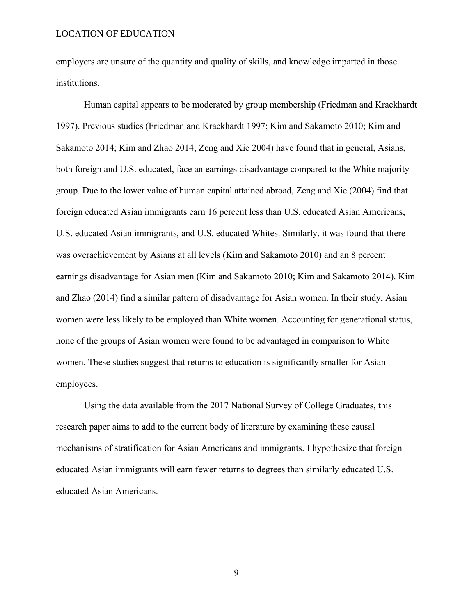employers are unsure of the quantity and quality of skills, and knowledge imparted in those institutions.

Human capital appears to be moderated by group membership (Friedman and Krackhardt 1997). Previous studies (Friedman and Krackhardt 1997; Kim and Sakamoto 2010; Kim and Sakamoto 2014; Kim and Zhao 2014; Zeng and Xie 2004) have found that in general, Asians, both foreign and U.S. educated, face an earnings disadvantage compared to the White majority group. Due to the lower value of human capital attained abroad, Zeng and Xie (2004) find that foreign educated Asian immigrants earn 16 percent less than U.S. educated Asian Americans, U.S. educated Asian immigrants, and U.S. educated Whites. Similarly, it was found that there was overachievement by Asians at all levels (Kim and Sakamoto 2010) and an 8 percent earnings disadvantage for Asian men (Kim and Sakamoto 2010; Kim and Sakamoto 2014). Kim and Zhao (2014) find a similar pattern of disadvantage for Asian women. In their study, Asian women were less likely to be employed than White women. Accounting for generational status, none of the groups of Asian women were found to be advantaged in comparison to White women. These studies suggest that returns to education is significantly smaller for Asian employees.

Using the data available from the 2017 National Survey of College Graduates, this research paper aims to add to the current body of literature by examining these causal mechanisms of stratification for Asian Americans and immigrants. I hypothesize that foreign educated Asian immigrants will earn fewer returns to degrees than similarly educated U.S. educated Asian Americans.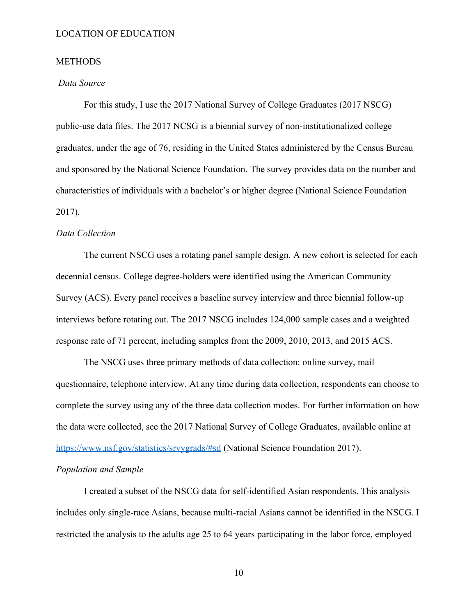# **METHODS**

# *Data Source*

For this study, I use the 2017 National Survey of College Graduates (2017 NSCG) public-use data files. The 2017 NCSG is a biennial survey of non-institutionalized college graduates, under the age of 76, residing in the United States administered by the Census Bureau and sponsored by the National Science Foundation. The survey provides data on the number and characteristics of individuals with a bachelor's or higher degree (National Science Foundation 2017).

#### *Data Collection*

The current NSCG uses a rotating panel sample design. A new cohort is selected for each decennial census. College degree-holders were identified using the American Community Survey (ACS). Every panel receives a baseline survey interview and three biennial follow-up interviews before rotating out. The 2017 NSCG includes 124,000 sample cases and a weighted response rate of 71 percent, including samples from the 2009, 2010, 2013, and 2015 ACS.

The NSCG uses three primary methods of data collection: online survey, mail questionnaire, telephone interview. At any time during data collection, respondents can choose to complete the survey using any of the three data collection modes. For further information on how the data were collected, see the 2017 National Survey of College Graduates, available online at <https://www.nsf.gov/statistics/srvygrads/#sd> (National Science Foundation 2017).

# *Population and Sample*

I created a subset of the NSCG data for self-identified Asian respondents. This analysis includes only single-race Asians, because multi-racial Asians cannot be identified in the NSCG. I restricted the analysis to the adults age 25 to 64 years participating in the labor force, employed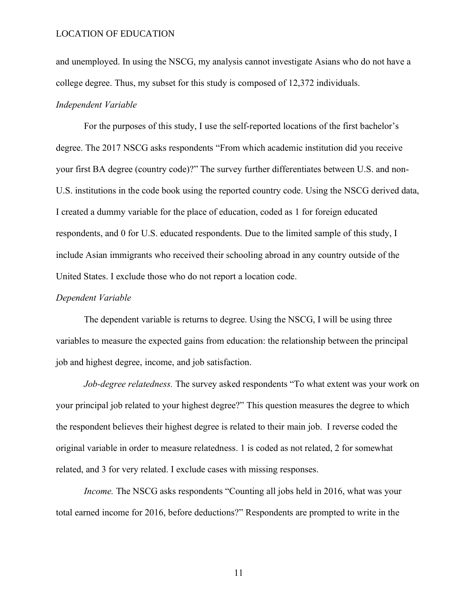and unemployed. In using the NSCG, my analysis cannot investigate Asians who do not have a college degree. Thus, my subset for this study is composed of 12,372 individuals.

# *Independent Variable*

For the purposes of this study, I use the self-reported locations of the first bachelor's degree. The 2017 NSCG asks respondents "From which academic institution did you receive your first BA degree (country code)?" The survey further differentiates between U.S. and non-U.S. institutions in the code book using the reported country code. Using the NSCG derived data, I created a dummy variable for the place of education, coded as 1 for foreign educated respondents, and 0 for U.S. educated respondents. Due to the limited sample of this study, I include Asian immigrants who received their schooling abroad in any country outside of the United States. I exclude those who do not report a location code.

#### *Dependent Variable*

The dependent variable is returns to degree. Using the NSCG, I will be using three variables to measure the expected gains from education: the relationship between the principal job and highest degree, income, and job satisfaction.

*Job-degree relatedness.* The survey asked respondents "To what extent was your work on your principal job related to your highest degree?" This question measures the degree to which the respondent believes their highest degree is related to their main job. I reverse coded the original variable in order to measure relatedness. 1 is coded as not related, 2 for somewhat related, and 3 for very related. I exclude cases with missing responses.

*Income.* The NSCG asks respondents "Counting all jobs held in 2016, what was your total earned income for 2016, before deductions?" Respondents are prompted to write in the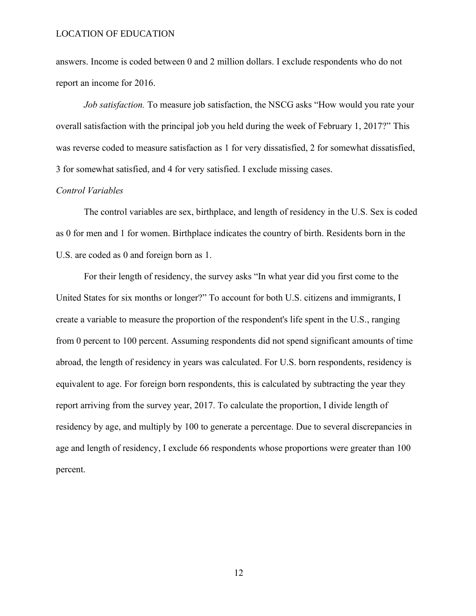answers. Income is coded between 0 and 2 million dollars. I exclude respondents who do not report an income for 2016.

*Job satisfaction.* To measure job satisfaction, the NSCG asks "How would you rate your overall satisfaction with the principal job you held during the week of February 1, 2017?" This was reverse coded to measure satisfaction as 1 for very dissatisfied, 2 for somewhat dissatisfied, 3 for somewhat satisfied, and 4 for very satisfied. I exclude missing cases.

#### *Control Variables*

The control variables are sex, birthplace, and length of residency in the U.S. Sex is coded as 0 for men and 1 for women. Birthplace indicates the country of birth. Residents born in the U.S. are coded as 0 and foreign born as 1.

For their length of residency, the survey asks "In what year did you first come to the United States for six months or longer?" To account for both U.S. citizens and immigrants, I create a variable to measure the proportion of the respondent's life spent in the U.S., ranging from 0 percent to 100 percent. Assuming respondents did not spend significant amounts of time abroad, the length of residency in years was calculated. For U.S. born respondents, residency is equivalent to age. For foreign born respondents, this is calculated by subtracting the year they report arriving from the survey year, 2017. To calculate the proportion, I divide length of residency by age, and multiply by 100 to generate a percentage. Due to several discrepancies in age and length of residency, I exclude 66 respondents whose proportions were greater than 100 percent.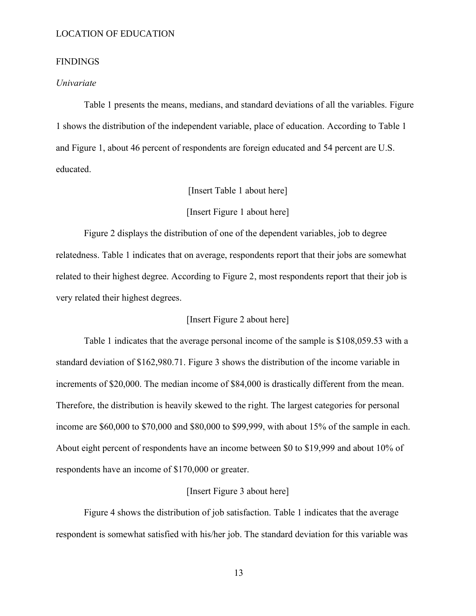# **FINDINGS**

# *Univariate*

Table 1 presents the means, medians, and standard deviations of all the variables. Figure 1 shows the distribution of the independent variable, place of education. According to Table 1 and Figure 1, about 46 percent of respondents are foreign educated and 54 percent are U.S. educated.

# [Insert Table 1 about here]

## [Insert Figure 1 about here]

Figure 2 displays the distribution of one of the dependent variables, job to degree relatedness. Table 1 indicates that on average, respondents report that their jobs are somewhat related to their highest degree. According to Figure 2, most respondents report that their job is very related their highest degrees.

# [Insert Figure 2 about here]

Table 1 indicates that the average personal income of the sample is \$108,059.53 with a standard deviation of \$162,980.71. Figure 3 shows the distribution of the income variable in increments of \$20,000. The median income of \$84,000 is drastically different from the mean. Therefore, the distribution is heavily skewed to the right. The largest categories for personal income are \$60,000 to \$70,000 and \$80,000 to \$99,999, with about 15% of the sample in each. About eight percent of respondents have an income between \$0 to \$19,999 and about 10% of respondents have an income of \$170,000 or greater.

#### [Insert Figure 3 about here]

Figure 4 shows the distribution of job satisfaction. Table 1 indicates that the average respondent is somewhat satisfied with his/her job. The standard deviation for this variable was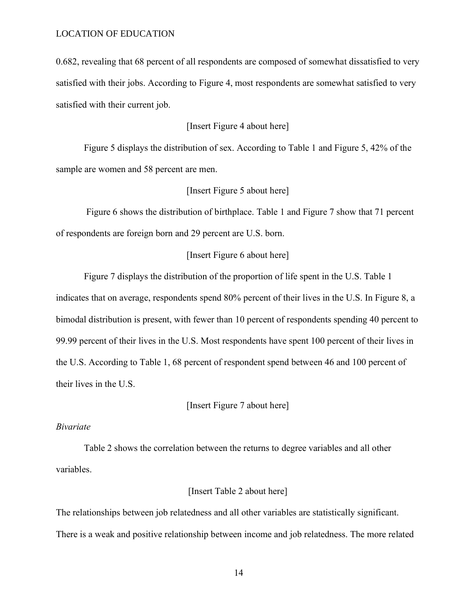0.682, revealing that 68 percent of all respondents are composed of somewhat dissatisfied to very satisfied with their jobs. According to Figure 4, most respondents are somewhat satisfied to very satisfied with their current job.

# [Insert Figure 4 about here]

Figure 5 displays the distribution of sex. According to Table 1 and Figure 5, 42% of the sample are women and 58 percent are men.

# [Insert Figure 5 about here]

Figure 6 shows the distribution of birthplace. Table 1 and Figure 7 show that 71 percent of respondents are foreign born and 29 percent are U.S. born.

# [Insert Figure 6 about here]

Figure 7 displays the distribution of the proportion of life spent in the U.S. Table 1 indicates that on average, respondents spend 80% percent of their lives in the U.S. In Figure 8, a bimodal distribution is present, with fewer than 10 percent of respondents spending 40 percent to 99.99 percent of their lives in the U.S. Most respondents have spent 100 percent of their lives in the U.S. According to Table 1, 68 percent of respondent spend between 46 and 100 percent of their lives in the U.S.

# [Insert Figure 7 about here]

#### *Bivariate*

Table 2 shows the correlation between the returns to degree variables and all other variables.

#### [Insert Table 2 about here]

The relationships between job relatedness and all other variables are statistically significant. There is a weak and positive relationship between income and job relatedness. The more related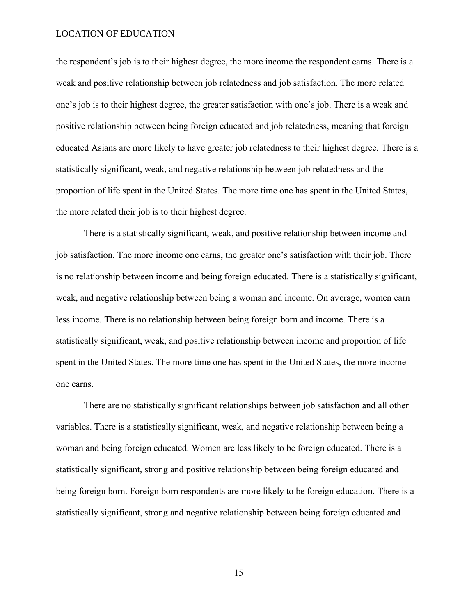the respondent's job is to their highest degree, the more income the respondent earns. There is a weak and positive relationship between job relatedness and job satisfaction. The more related one's job is to their highest degree, the greater satisfaction with one's job. There is a weak and positive relationship between being foreign educated and job relatedness, meaning that foreign educated Asians are more likely to have greater job relatedness to their highest degree. There is a statistically significant, weak, and negative relationship between job relatedness and the proportion of life spent in the United States. The more time one has spent in the United States, the more related their job is to their highest degree.

There is a statistically significant, weak, and positive relationship between income and job satisfaction. The more income one earns, the greater one's satisfaction with their job. There is no relationship between income and being foreign educated. There is a statistically significant, weak, and negative relationship between being a woman and income. On average, women earn less income. There is no relationship between being foreign born and income. There is a statistically significant, weak, and positive relationship between income and proportion of life spent in the United States. The more time one has spent in the United States, the more income one earns.

There are no statistically significant relationships between job satisfaction and all other variables. There is a statistically significant, weak, and negative relationship between being a woman and being foreign educated. Women are less likely to be foreign educated. There is a statistically significant, strong and positive relationship between being foreign educated and being foreign born. Foreign born respondents are more likely to be foreign education. There is a statistically significant, strong and negative relationship between being foreign educated and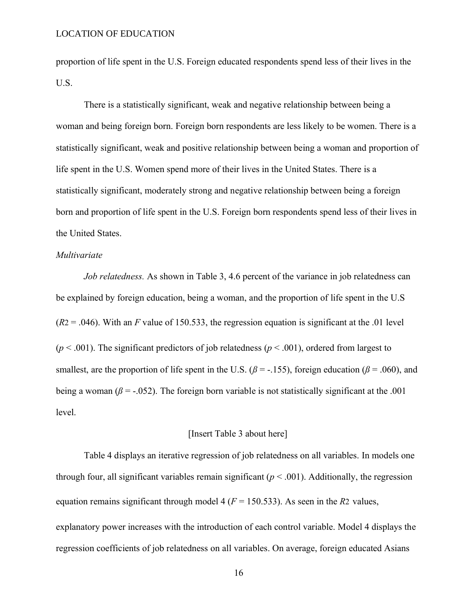proportion of life spent in the U.S. Foreign educated respondents spend less of their lives in the U.S.

There is a statistically significant, weak and negative relationship between being a woman and being foreign born. Foreign born respondents are less likely to be women. There is a statistically significant, weak and positive relationship between being a woman and proportion of life spent in the U.S. Women spend more of their lives in the United States. There is a statistically significant, moderately strong and negative relationship between being a foreign born and proportion of life spent in the U.S. Foreign born respondents spend less of their lives in the United States.

# *Multivariate*

*Job relatedness.* As shown in Table 3, 4.6 percent of the variance in job relatedness can be explained by foreign education, being a woman, and the proportion of life spent in the U.S  $(R2 = .046)$ . With an *F* value of 150.533, the regression equation is significant at the .01 level  $(p < .001)$ . The significant predictors of job relatedness  $(p < .001)$ , ordered from largest to smallest, are the proportion of life spent in the U.S. ( $\beta$  = -.155), foreign education ( $\beta$  = .060), and being a woman ( $\beta$  = -.052). The foreign born variable is not statistically significant at the .001 level.

# [Insert Table 3 about here]

Table 4 displays an iterative regression of job relatedness on all variables. In models one through four, all significant variables remain significant  $(p < .001)$ . Additionally, the regression equation remains significant through model 4 ( $F = 150.533$ ). As seen in the *R*2 values, explanatory power increases with the introduction of each control variable. Model 4 displays the regression coefficients of job relatedness on all variables. On average, foreign educated Asians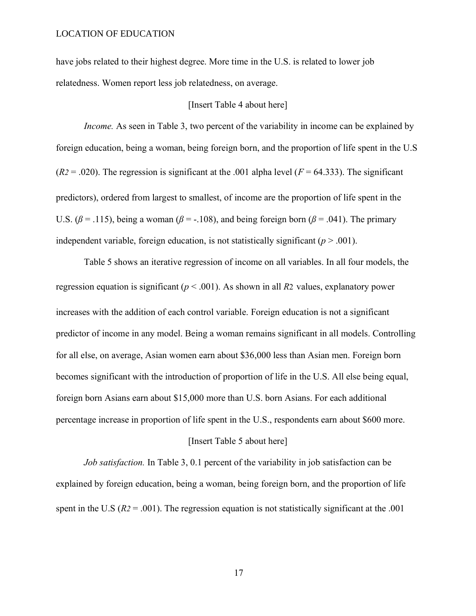have jobs related to their highest degree. More time in the U.S. is related to lower job relatedness. Women report less job relatedness, on average.

# [Insert Table 4 about here]

*Income.* As seen in Table 3, two percent of the variability in income can be explained by foreign education, being a woman, being foreign born, and the proportion of life spent in the U.S  $(R2 = .020)$ . The regression is significant at the .001 alpha level  $(F = 64.333)$ . The significant predictors), ordered from largest to smallest, of income are the proportion of life spent in the U.S.  $(\beta = .115)$ , being a woman  $(\beta = .108)$ , and being foreign born  $(\beta = .041)$ . The primary independent variable, foreign education, is not statistically significant  $(p > .001)$ .

Table 5 shows an iterative regression of income on all variables. In all four models, the regression equation is significant (*p* < .001). As shown in all *R*2 values, explanatory power increases with the addition of each control variable. Foreign education is not a significant predictor of income in any model. Being a woman remains significant in all models. Controlling for all else, on average, Asian women earn about \$36,000 less than Asian men. Foreign born becomes significant with the introduction of proportion of life in the U.S. All else being equal, foreign born Asians earn about \$15,000 more than U.S. born Asians. For each additional percentage increase in proportion of life spent in the U.S., respondents earn about \$600 more. [Insert Table 5 about here]

*Job satisfaction.* In Table 3, 0.1 percent of the variability in job satisfaction can be explained by foreign education, being a woman, being foreign born, and the proportion of life spent in the U.S (*R2* = .001). The regression equation is not statistically significant at the .001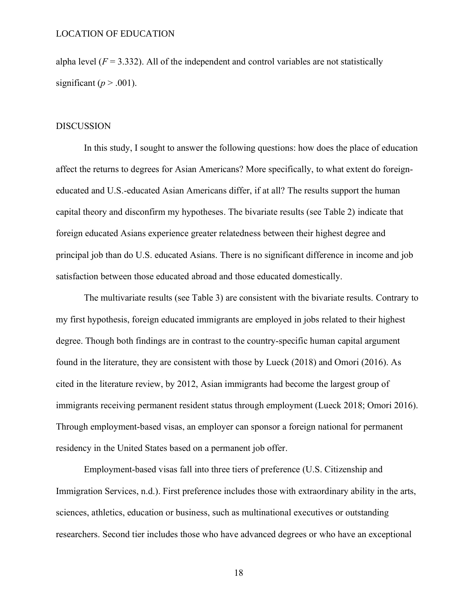alpha level  $(F = 3.332)$ . All of the independent and control variables are not statistically significant ( $p > .001$ ).

## DISCUSSION

In this study, I sought to answer the following questions: how does the place of education affect the returns to degrees for Asian Americans? More specifically, to what extent do foreigneducated and U.S.-educated Asian Americans differ, if at all? The results support the human capital theory and disconfirm my hypotheses. The bivariate results (see Table 2) indicate that foreign educated Asians experience greater relatedness between their highest degree and principal job than do U.S. educated Asians. There is no significant difference in income and job satisfaction between those educated abroad and those educated domestically.

The multivariate results (see Table 3) are consistent with the bivariate results. Contrary to my first hypothesis, foreign educated immigrants are employed in jobs related to their highest degree. Though both findings are in contrast to the country-specific human capital argument found in the literature, they are consistent with those by Lueck (2018) and Omori (2016). As cited in the literature review, by 2012, Asian immigrants had become the largest group of immigrants receiving permanent resident status through employment (Lueck 2018; Omori 2016). Through employment-based visas, an employer can sponsor a foreign national for permanent residency in the United States based on a permanent job offer.

Employment-based visas fall into three tiers of preference (U.S. Citizenship and Immigration Services, n.d.). First preference includes those with extraordinary ability in the arts, sciences, athletics, education or business, such as multinational executives or outstanding researchers. Second tier includes those who have advanced degrees or who have an exceptional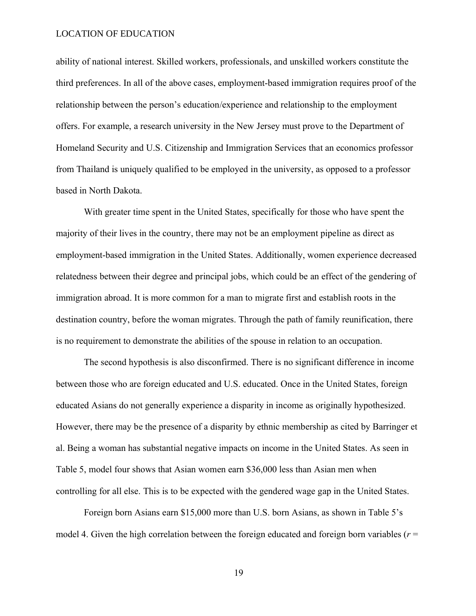ability of national interest. Skilled workers, professionals, and unskilled workers constitute the third preferences. In all of the above cases, employment-based immigration requires proof of the relationship between the person's education/experience and relationship to the employment offers. For example, a research university in the New Jersey must prove to the Department of Homeland Security and U.S. Citizenship and Immigration Services that an economics professor from Thailand is uniquely qualified to be employed in the university, as opposed to a professor based in North Dakota.

With greater time spent in the United States, specifically for those who have spent the majority of their lives in the country, there may not be an employment pipeline as direct as employment-based immigration in the United States. Additionally, women experience decreased relatedness between their degree and principal jobs, which could be an effect of the gendering of immigration abroad. It is more common for a man to migrate first and establish roots in the destination country, before the woman migrates. Through the path of family reunification, there is no requirement to demonstrate the abilities of the spouse in relation to an occupation.

The second hypothesis is also disconfirmed. There is no significant difference in income between those who are foreign educated and U.S. educated. Once in the United States, foreign educated Asians do not generally experience a disparity in income as originally hypothesized. However, there may be the presence of a disparity by ethnic membership as cited by Barringer et al. Being a woman has substantial negative impacts on income in the United States. As seen in Table 5, model four shows that Asian women earn \$36,000 less than Asian men when controlling for all else. This is to be expected with the gendered wage gap in the United States.

Foreign born Asians earn \$15,000 more than U.S. born Asians, as shown in Table 5's model 4. Given the high correlation between the foreign educated and foreign born variables (*r* =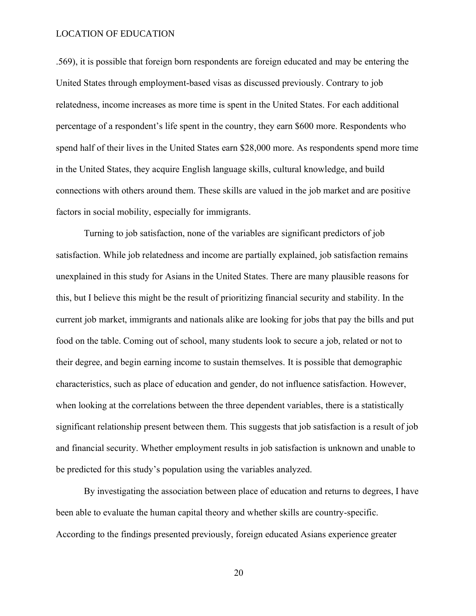.569), it is possible that foreign born respondents are foreign educated and may be entering the United States through employment-based visas as discussed previously. Contrary to job relatedness, income increases as more time is spent in the United States. For each additional percentage of a respondent's life spent in the country, they earn \$600 more. Respondents who spend half of their lives in the United States earn \$28,000 more. As respondents spend more time in the United States, they acquire English language skills, cultural knowledge, and build connections with others around them. These skills are valued in the job market and are positive factors in social mobility, especially for immigrants.

Turning to job satisfaction, none of the variables are significant predictors of job satisfaction. While job relatedness and income are partially explained, job satisfaction remains unexplained in this study for Asians in the United States. There are many plausible reasons for this, but I believe this might be the result of prioritizing financial security and stability. In the current job market, immigrants and nationals alike are looking for jobs that pay the bills and put food on the table. Coming out of school, many students look to secure a job, related or not to their degree, and begin earning income to sustain themselves. It is possible that demographic characteristics, such as place of education and gender, do not influence satisfaction. However, when looking at the correlations between the three dependent variables, there is a statistically significant relationship present between them. This suggests that job satisfaction is a result of job and financial security. Whether employment results in job satisfaction is unknown and unable to be predicted for this study's population using the variables analyzed.

By investigating the association between place of education and returns to degrees, I have been able to evaluate the human capital theory and whether skills are country-specific. According to the findings presented previously, foreign educated Asians experience greater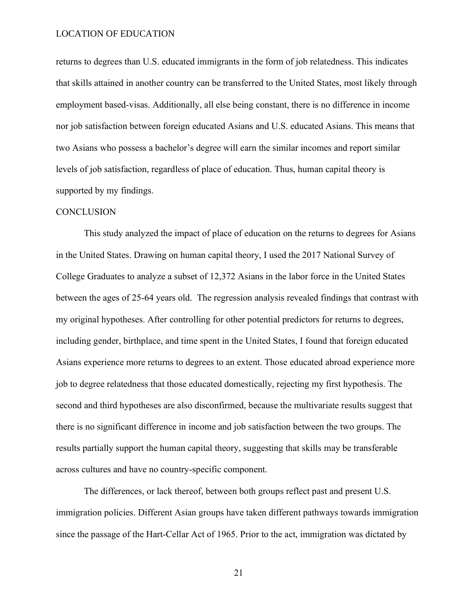returns to degrees than U.S. educated immigrants in the form of job relatedness. This indicates that skills attained in another country can be transferred to the United States, most likely through employment based-visas. Additionally, all else being constant, there is no difference in income nor job satisfaction between foreign educated Asians and U.S. educated Asians. This means that two Asians who possess a bachelor's degree will earn the similar incomes and report similar levels of job satisfaction, regardless of place of education. Thus, human capital theory is supported by my findings.

#### **CONCLUSION**

This study analyzed the impact of place of education on the returns to degrees for Asians in the United States. Drawing on human capital theory, I used the 2017 National Survey of College Graduates to analyze a subset of 12,372 Asians in the labor force in the United States between the ages of 25-64 years old. The regression analysis revealed findings that contrast with my original hypotheses. After controlling for other potential predictors for returns to degrees, including gender, birthplace, and time spent in the United States, I found that foreign educated Asians experience more returns to degrees to an extent. Those educated abroad experience more job to degree relatedness that those educated domestically, rejecting my first hypothesis. The second and third hypotheses are also disconfirmed, because the multivariate results suggest that there is no significant difference in income and job satisfaction between the two groups. The results partially support the human capital theory, suggesting that skills may be transferable across cultures and have no country-specific component.

The differences, or lack thereof, between both groups reflect past and present U.S. immigration policies. Different Asian groups have taken different pathways towards immigration since the passage of the Hart-Cellar Act of 1965. Prior to the act, immigration was dictated by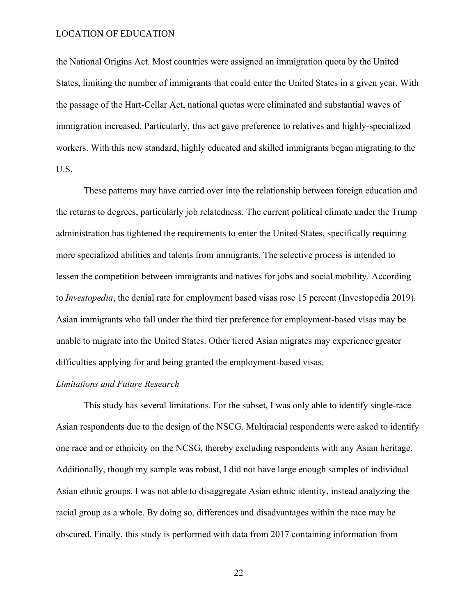the National Origins Act. Most countries were assigned an immigration quota by the United States, limiting the number of immigrants that could enter the United States in a given year. With the passage of the Hart-Cellar Act, national quotas were eliminated and substantial waves of immigration increased. Particularly, this act gave preference to relatives and highly-specialized workers. With this new standard, highly educated and skilled immigrants began migrating to the U.S.

These patterns may have carried over into the relationship between foreign education and the returns to degrees, particularly job relatedness. The current political climate under the Trump administration has tightened the requirements to enter the United States, specifically requiring more specialized abilities and talents from immigrants. The selective process is intended to lessen the competition between immigrants and natives for jobs and social mobility. According to *Investopedia*, the denial rate for employment based visas rose 15 percent (Investopedia 2019). Asian immigrants who fall under the third tier preference for employment-based visas may be unable to migrate into the United States. Other tiered Asian migrates may experience greater difficulties applying for and being granted the employment-based visas.

# *Limitations and Future Research*

This study has several limitations. For the subset, I was only able to identify single-race Asian respondents due to the design of the NSCG. Multiracial respondents were asked to identify one race and or ethnicity on the NCSG, thereby excluding respondents with any Asian heritage. Additionally, though my sample was robust, I did not have large enough samples of individual Asian ethnic groups. I was not able to disaggregate Asian ethnic identity, instead analyzing the racial group as a whole. By doing so, differences and disadvantages within the race may be obscured. Finally, this study is performed with data from 2017 containing information from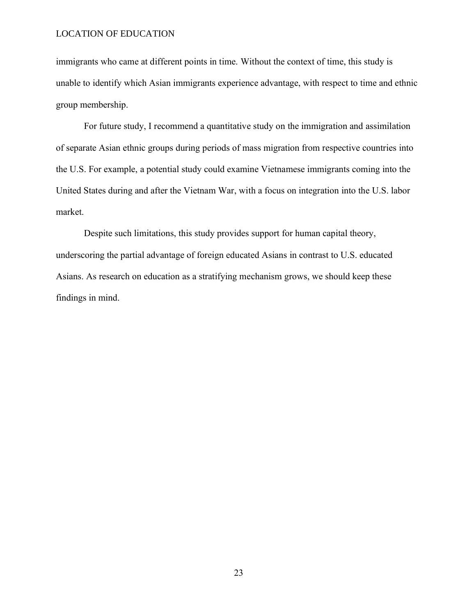immigrants who came at different points in time. Without the context of time, this study is unable to identify which Asian immigrants experience advantage, with respect to time and ethnic group membership.

For future study, I recommend a quantitative study on the immigration and assimilation of separate Asian ethnic groups during periods of mass migration from respective countries into the U.S. For example, a potential study could examine Vietnamese immigrants coming into the United States during and after the Vietnam War, with a focus on integration into the U.S. labor market.

Despite such limitations, this study provides support for human capital theory, underscoring the partial advantage of foreign educated Asians in contrast to U.S. educated Asians. As research on education as a stratifying mechanism grows, we should keep these findings in mind.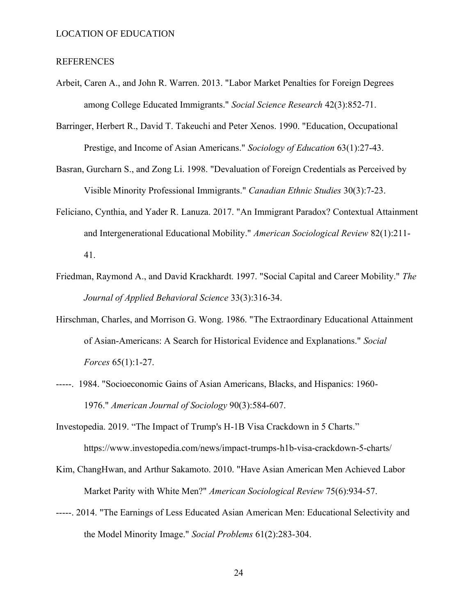#### REFERENCES

- Arbeit, Caren A., and John R. Warren. 2013. "Labor Market Penalties for Foreign Degrees among College Educated Immigrants." *Social Science Research* 42(3):852-71.
- Barringer, Herbert R., David T. Takeuchi and Peter Xenos. 1990. "Education, Occupational Prestige, and Income of Asian Americans." *Sociology of Education* 63(1):27-43.
- Basran, Gurcharn S., and Zong Li. 1998. "Devaluation of Foreign Credentials as Perceived by Visible Minority Professional Immigrants." *Canadian Ethnic Studies* 30(3):7-23.
- Feliciano, Cynthia, and Yader R. Lanuza. 2017. "An Immigrant Paradox? Contextual Attainment and Intergenerational Educational Mobility." *American Sociological Review* 82(1):211- 41.
- Friedman, Raymond A., and David Krackhardt. 1997. "Social Capital and Career Mobility." *The Journal of Applied Behavioral Science* 33(3):316-34.
- Hirschman, Charles, and Morrison G. Wong. 1986. "The Extraordinary Educational Attainment of Asian-Americans: A Search for Historical Evidence and Explanations." *Social Forces* 65(1):1-27.
- -----. 1984. "Socioeconomic Gains of Asian Americans, Blacks, and Hispanics: 1960- 1976." *American Journal of Sociology* 90(3):584-607.
- Investopedia. 2019. "The Impact of Trump's H-1B Visa Crackdown in 5 Charts." https://www.investopedia.com/news/impact-trumps-h1b-visa-crackdown-5-charts/
- Kim, ChangHwan, and Arthur Sakamoto. 2010. "Have Asian American Men Achieved Labor Market Parity with White Men?" *American Sociological Review* 75(6):934-57.
- -----. 2014. "The Earnings of Less Educated Asian American Men: Educational Selectivity and the Model Minority Image." *Social Problems* 61(2):283-304.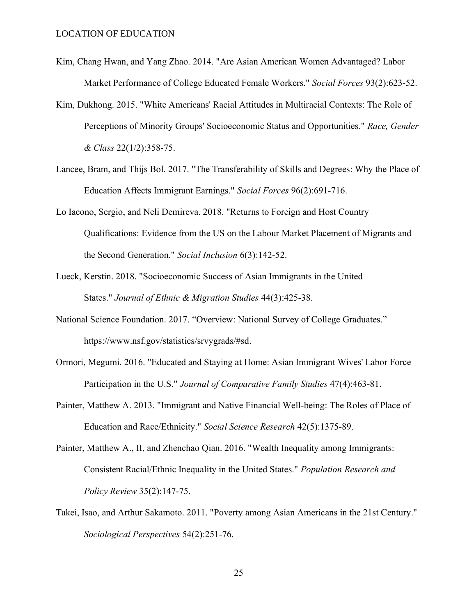- Kim, Chang Hwan, and Yang Zhao. 2014. "Are Asian American Women Advantaged? Labor Market Performance of College Educated Female Workers." *Social Forces* 93(2):623-52.
- Kim, Dukhong. 2015. "White Americans' Racial Attitudes in Multiracial Contexts: The Role of Perceptions of Minority Groups' Socioeconomic Status and Opportunities." *Race, Gender & Class* 22(1/2):358-75.
- Lancee, Bram, and Thijs Bol. 2017. "The Transferability of Skills and Degrees: Why the Place of Education Affects Immigrant Earnings." *Social Forces* 96(2):691-716.
- Lo Iacono, Sergio, and Neli Demireva. 2018. "Returns to Foreign and Host Country Qualifications: Evidence from the US on the Labour Market Placement of Migrants and the Second Generation." *Social Inclusion* 6(3):142-52.
- Lueck, Kerstin. 2018. "Socioeconomic Success of Asian Immigrants in the United States." *Journal of Ethnic & Migration Studies* 44(3):425-38.
- National Science Foundation. 2017. "Overview: National Survey of College Graduates." https://www.nsf.gov/statistics/srvygrads/#sd.
- Ormori, Megumi. 2016. "Educated and Staying at Home: Asian Immigrant Wives' Labor Force Participation in the U.S." *Journal of Comparative Family Studies* 47(4):463-81.
- Painter, Matthew A. 2013. "Immigrant and Native Financial Well-being: The Roles of Place of Education and Race/Ethnicity." *Social Science Research* 42(5):1375-89.
- Painter, Matthew A., II, and Zhenchao Qian. 2016. "Wealth Inequality among Immigrants: Consistent Racial/Ethnic Inequality in the United States." *Population Research and Policy Review* 35(2):147-75.
- Takei, Isao, and Arthur Sakamoto. 2011. "Poverty among Asian Americans in the 21st Century." *Sociological Perspectives* 54(2):251-76.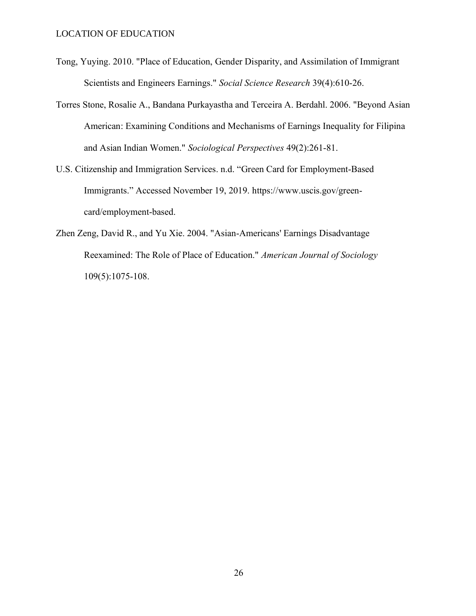- Tong, Yuying. 2010. "Place of Education, Gender Disparity, and Assimilation of Immigrant Scientists and Engineers Earnings." *Social Science Research* 39(4):610-26.
- Torres Stone, Rosalie A., Bandana Purkayastha and Terceira A. Berdahl. 2006. "Beyond Asian American: Examining Conditions and Mechanisms of Earnings Inequality for Filipina and Asian Indian Women." *Sociological Perspectives* 49(2):261-81.
- U.S. Citizenship and Immigration Services. n.d. "Green Card for Employment-Based Immigrants." Accessed November 19, 2019. [https://www.uscis.gov/green](https://www.uscis.gov/green-card/employment-based)[card/employment-based.](https://www.uscis.gov/green-card/employment-based)
- Zhen Zeng, David R., and Yu Xie. 2004. "Asian-Americans' Earnings Disadvantage Reexamined: The Role of Place of Education." *American Journal of Sociology*  109(5):1075-108.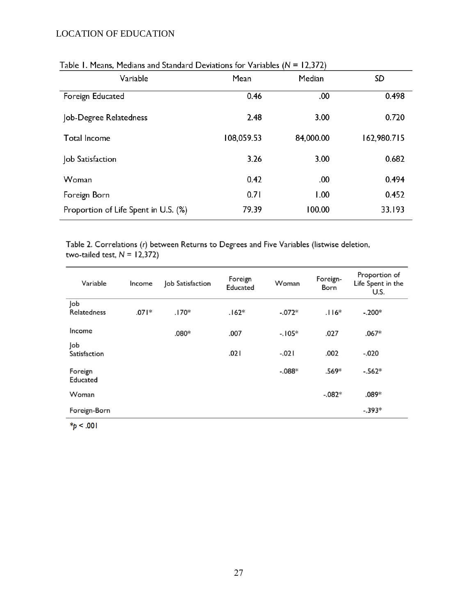| <b>Fable 1.1 Ically, Ficularly and Standard Deviations for Variables (19 = 12,372)</b> |            |           |             |  |
|----------------------------------------------------------------------------------------|------------|-----------|-------------|--|
| Variable                                                                               | Mean       | Median    | SD          |  |
| Foreign Educated                                                                       | 0.46       | .00       | 0.498       |  |
| Job-Degree Relatedness                                                                 | 2.48       | 3.00      | 0.720       |  |
| Total Income                                                                           | 108,059.53 | 84,000.00 | 162,980.715 |  |
| Job Satisfaction                                                                       | 3.26       | 3.00      | 0.682       |  |
| Woman                                                                                  | 0.42       | .00       | 0.494       |  |
| Foreign Born                                                                           | 0.71       | 1.00      | 0.452       |  |
| Proportion of Life Spent in U.S. (%)                                                   | 79.39      | 100.00    | 33.193      |  |

# Table 1. Means. Medians and Standard Deviations for Variables  $(N = 12.372)$

Table 2. Correlations (r) between Returns to Degrees and Five Variables (listwise deletion, two-tailed test,  $N = 12,372$ )

| Variable            | Income  | Job Satisfaction | Foreign<br>Educated | Woman    | Foreign-<br>Born | Proportion of<br>Life Spent in the<br>U.S. |
|---------------------|---------|------------------|---------------------|----------|------------------|--------------------------------------------|
| Job<br>Relatedness  | $.071*$ | $.170*$          | $.162*$             | $-.072*$ | $.116*$          | $-.200*$                                   |
| Income              |         | $.080*$          | .007                | $-.105*$ | .027             | $.067*$                                    |
| Job<br>Satisfaction |         |                  | .021                | $-.021$  | .002             | $-.020$                                    |
| Foreign<br>Educated |         |                  |                     | $-.088*$ | .569*            | $-.562*$                                   |
| Woman               |         |                  |                     |          | $-.082*$         | $.089*$                                    |
| Foreign-Born        |         |                  |                     |          |                  | $-.393*$                                   |

 $*_{p}$  < .001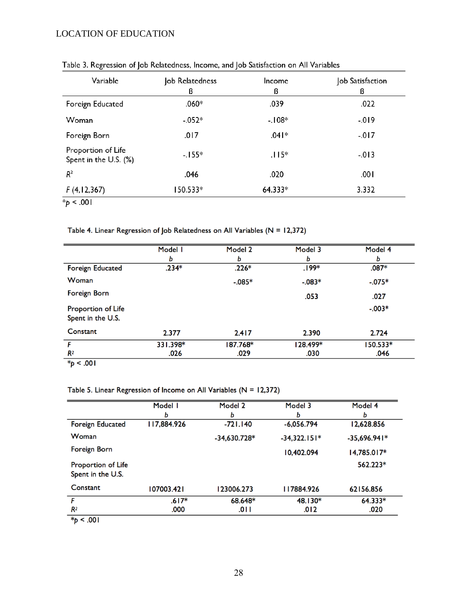| Variable                                    | Job Relatedness<br>ß | Income<br>ß | Job Satisfaction<br>ß |
|---------------------------------------------|----------------------|-------------|-----------------------|
| Foreign Educated                            | $.060*$              | .039        | .022                  |
| Woman                                       | $-.052*$             | $-108*$     | $-019$                |
| Foreign Born                                | .017                 | $.041*$     | $-017$                |
| Proportion of Life<br>Spent in the U.S. (%) | $-.155*$             | $.115*$     | $-.013$               |
| $R^2$                                       | .046                 | .020        | .001                  |
| F(4,12,367)                                 | 150.533*             | 64.333*     | 3.332                 |
| $*_{p}$ < .001                              |                      |             |                       |

Table 3. Regression of Job Relatedness, Income, and Job Satisfaction on All Variables

Table 4. Linear Regression of Job Relatedness on All Variables (N = 12,372)

| Model I  | Model 2  | Model 3  | Model 4  |
|----------|----------|----------|----------|
| Ь        | ь        | ь        | ь        |
| $.234*$  | $.226*$  | $.199*$  | $.087*$  |
|          | $-.085*$ | $-.083*$ | $-.075*$ |
|          |          | .053     | .027     |
|          |          |          | $-.003*$ |
| 2.377    | 2.417    | 2.390    | 2.724    |
| 331.398* | 187.768* | 128.499* | 150.533* |
| .026     | .029     | .030     | .046     |
|          |          |          |          |

 $*_{p}$  < .001

Table 5. Linear Regression of Income on All Variables ( $N = 12,372$ )

|                                         | Model I     | Model 2        | Model 3        | Model 4        |
|-----------------------------------------|-------------|----------------|----------------|----------------|
|                                         | ь           | b              | ь              | ь              |
| <b>Foreign Educated</b>                 | 117,884.926 | $-721.140$     | $-6,056.794$   | 12,628.856     |
| Woman                                   |             | $-34,630.728*$ | $-34,322.151*$ | $-35,696.941*$ |
| Foreign Born                            |             |                | 10,402.094     | $14,785.017*$  |
| Proportion of Life<br>Spent in the U.S. |             |                |                | 562.223*       |
| Constant                                | 107003.421  | 123006.273     | 117884.926     | 62156.856      |
| F                                       | $.617*$     | 68.648*        | 48.130*        | 64.333*        |
| R <sup>2</sup>                          | .000        | .011           | .012           | .020           |

 $*_{p}$  < .001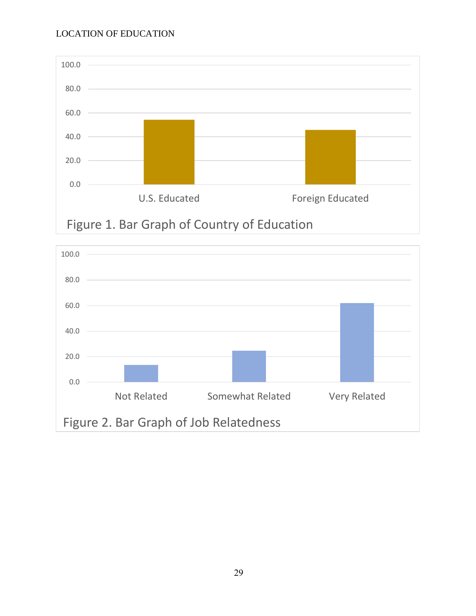

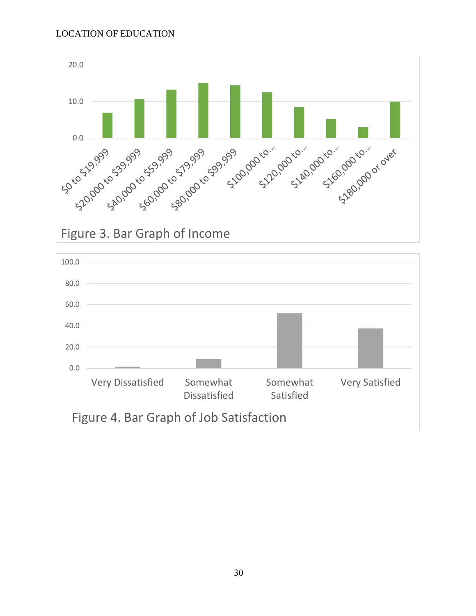

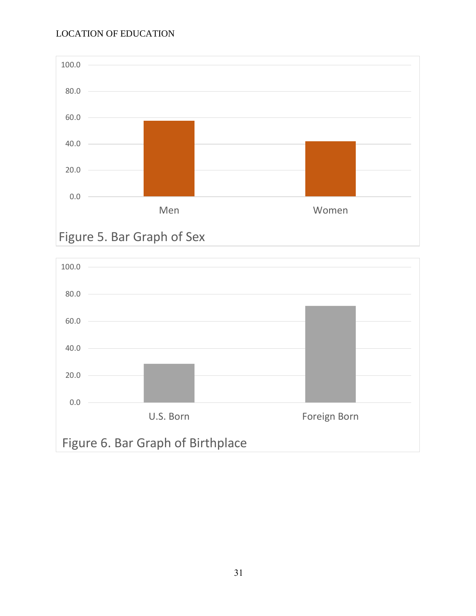